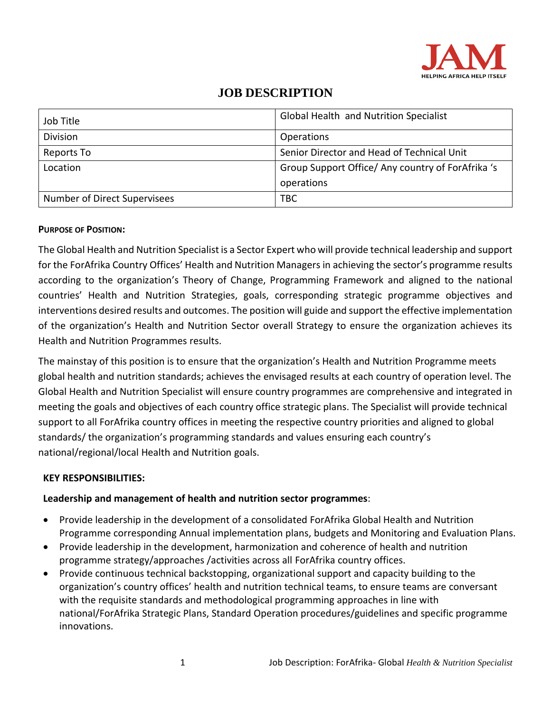

| Job Title                    | Global Health and Nutrition Specialist            |
|------------------------------|---------------------------------------------------|
| <b>Division</b>              | Operations                                        |
| Reports To                   | Senior Director and Head of Technical Unit        |
| Location                     | Group Support Office/ Any country of ForAfrika 's |
|                              | operations                                        |
| Number of Direct Supervisees | TBC                                               |

#### **PURPOSE OF POSITION:**

The Global Health and Nutrition Specialist is a Sector Expert who will provide technical leadership and support for the ForAfrika Country Offices' Health and Nutrition Managers in achieving the sector's programme results according to the organization's Theory of Change, Programming Framework and aligned to the national countries' Health and Nutrition Strategies, goals, corresponding strategic programme objectives and interventions desired results and outcomes. The position will guide and support the effective implementation of the organization's Health and Nutrition Sector overall Strategy to ensure the organization achieves its Health and Nutrition Programmes results.

The mainstay of this position is to ensure that the organization's Health and Nutrition Programme meets global health and nutrition standards; achieves the envisaged results at each country of operation level. The Global Health and Nutrition Specialist will ensure country programmes are comprehensive and integrated in meeting the goals and objectives of each country office strategic plans. The Specialist will provide technical support to all ForAfrika country offices in meeting the respective country priorities and aligned to global standards/ the organization's programming standards and values ensuring each country's national/regional/local Health and Nutrition goals.

#### **KEY RESPONSIBILITIES:**

#### **Leadership and management of health and nutrition sector programmes**:

- Provide leadership in the development of a consolidated ForAfrika Global Health and Nutrition Programme corresponding Annual implementation plans, budgets and Monitoring and Evaluation Plans.
- Provide leadership in the development, harmonization and coherence of health and nutrition programme strategy/approaches /activities across all ForAfrika country offices.
- Provide continuous technical backstopping, organizational support and capacity building to the organization's country offices' health and nutrition technical teams, to ensure teams are conversant with the requisite standards and methodological programming approaches in line with national/ForAfrika Strategic Plans, Standard Operation procedures/guidelines and specific programme innovations.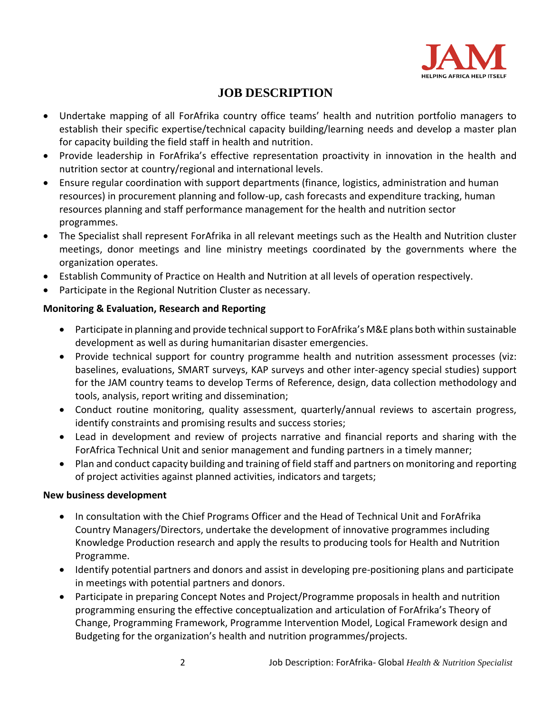

- Undertake mapping of all ForAfrika country office teams' health and nutrition portfolio managers to establish their specific expertise/technical capacity building/learning needs and develop a master plan for capacity building the field staff in health and nutrition.
- Provide leadership in ForAfrika's effective representation proactivity in innovation in the health and nutrition sector at country/regional and international levels.
- Ensure regular coordination with support departments (finance, logistics, administration and human resources) in procurement planning and follow-up, cash forecasts and expenditure tracking, human resources planning and staff performance management for the health and nutrition sector programmes.
- The Specialist shall represent ForAfrika in all relevant meetings such as the Health and Nutrition cluster meetings, donor meetings and line ministry meetings coordinated by the governments where the organization operates.
- Establish Community of Practice on Health and Nutrition at all levels of operation respectively.
- Participate in the Regional Nutrition Cluster as necessary.

### **Monitoring & Evaluation, Research and Reporting**

- Participate in planning and provide technical support to ForAfrika's M&E plans both within sustainable development as well as during humanitarian disaster emergencies.
- Provide technical support for country programme health and nutrition assessment processes (viz: baselines, evaluations, SMART surveys, KAP surveys and other inter-agency special studies) support for the JAM country teams to develop Terms of Reference, design, data collection methodology and tools, analysis, report writing and dissemination;
- Conduct routine monitoring, quality assessment, quarterly/annual reviews to ascertain progress, identify constraints and promising results and success stories;
- Lead in development and review of projects narrative and financial reports and sharing with the ForAfrica Technical Unit and senior management and funding partners in a timely manner;
- Plan and conduct capacity building and training of field staff and partners on monitoring and reporting of project activities against planned activities, indicators and targets;

### **New business development**

- In consultation with the Chief Programs Officer and the Head of Technical Unit and ForAfrika Country Managers/Directors, undertake the development of innovative programmes including Knowledge Production research and apply the results to producing tools for Health and Nutrition Programme.
- Identify potential partners and donors and assist in developing pre-positioning plans and participate in meetings with potential partners and donors.
- Participate in preparing Concept Notes and Project/Programme proposals in health and nutrition programming ensuring the effective conceptualization and articulation of ForAfrika's Theory of Change, Programming Framework, Programme Intervention Model, Logical Framework design and Budgeting for the organization's health and nutrition programmes/projects.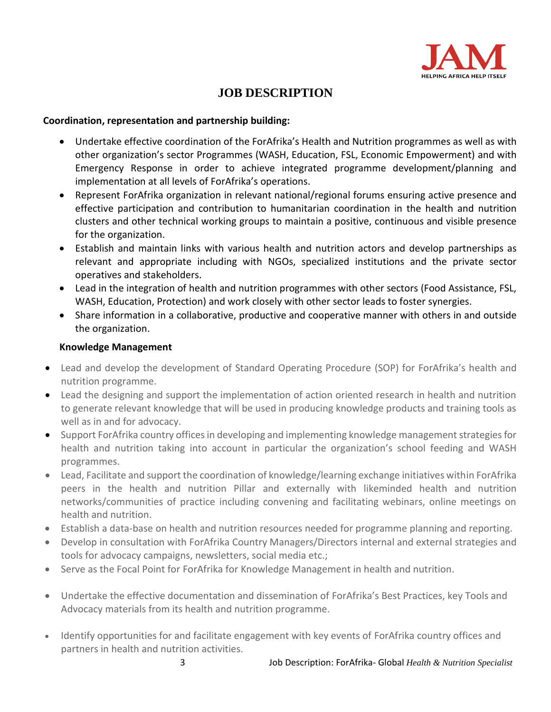

#### **Coordination, representation and partnership building:**

- Undertake effective coordination of the ForAfrika's Health and Nutrition programmes as well as with other organization's sector Programmes (WASH, Education, FSL, Economic Empowerment) and with Emergency Response in order to achieve integrated programme development/planning and implementation at all levels of ForAfrika's operations.
- Represent ForAfrika organization in relevant national/regional forums ensuring active presence and effective participation and contribution to humanitarian coordination in the health and nutrition clusters and other technical working groups to maintain a positive, continuous and visible presence for the organization.
- Establish and maintain links with various health and nutrition actors and develop partnerships as relevant and appropriate including with NGOs, specialized institutions and the private sector operatives and stakeholders.
- Lead in the integration of health and nutrition programmes with other sectors (Food Assistance, FSL, WASH, Education, Protection) and work closely with other sector leads to foster synergies.
- Share information in a collaborative, productive and cooperative manner with others in and outside the organization.

#### **Knowledge Management**

- Lead and develop the development of Standard Operating Procedure (SOP) for ForAfrika's health and nutrition programme.
- Lead the designing and support the implementation of action oriented research in health and nutrition to generate relevant knowledge that will be used in producing knowledge products and training tools as well as in and for advocacy.
- Support ForAfrika country offices in developing and implementing knowledge management strategies for health and nutrition taking into account in particular the organization's school feeding and WASH programmes.
- Lead, Facilitate and support the coordination of knowledge/learning exchange initiatives within ForAfrika peers in the health and nutrition Pillar and externally with likeminded health and nutrition networks/communities of practice including convening and facilitating webinars, online meetings on health and nutrition.
- Establish a data-base on health and nutrition resources needed for programme planning and reporting.
- Develop in consultation with ForAfrika Country Managers/Directors internal and external strategies and tools for advocacy campaigns, newsletters, social media etc.;
- Serve as the Focal Point for ForAfrika for Knowledge Management in health and nutrition.
- Undertake the effective documentation and dissemination of ForAfrika's Best Practices, key Tools and Advocacy materials from its health and nutrition programme.
- Identify opportunities for and facilitate engagement with key events of ForAfrika country offices and partners in health and nutrition activities.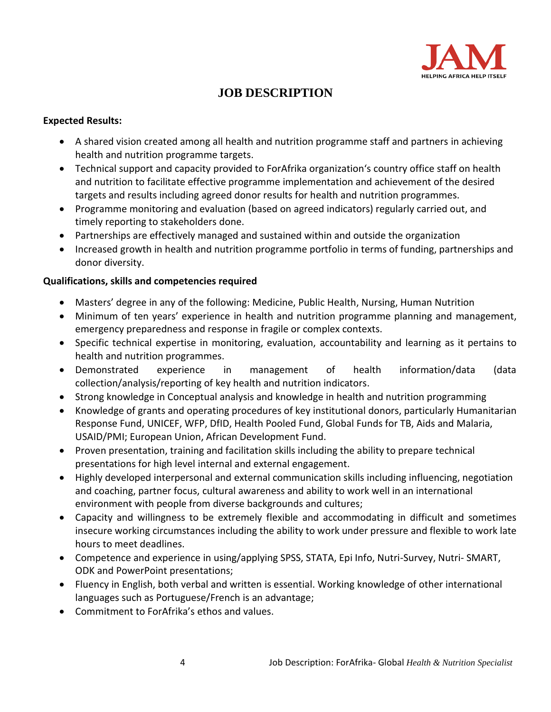

#### **Expected Results:**

- A shared vision created among all health and nutrition programme staff and partners in achieving health and nutrition programme targets.
- Technical support and capacity provided to ForAfrika organization's country office staff on health and nutrition to facilitate effective programme implementation and achievement of the desired targets and results including agreed donor results for health and nutrition programmes.
- Programme monitoring and evaluation (based on agreed indicators) regularly carried out, and timely reporting to stakeholders done.
- Partnerships are effectively managed and sustained within and outside the organization
- Increased growth in health and nutrition programme portfolio in terms of funding, partnerships and donor diversity.

#### **Qualifications, skills and competencies required**

- Masters' degree in any of the following: Medicine, Public Health, Nursing, Human Nutrition
- Minimum of ten years' experience in health and nutrition programme planning and management, emergency preparedness and response in fragile or complex contexts.
- Specific technical expertise in monitoring, evaluation, accountability and learning as it pertains to health and nutrition programmes.
- Demonstrated experience in management of health information/data (data collection/analysis/reporting of key health and nutrition indicators.
- Strong knowledge in Conceptual analysis and knowledge in health and nutrition programming
- Knowledge of grants and operating procedures of key institutional donors, particularly Humanitarian Response Fund, UNICEF, WFP, DfID, Health Pooled Fund, Global Funds for TB, Aids and Malaria, USAID/PMI; European Union, African Development Fund.
- Proven presentation, training and facilitation skills including the ability to prepare technical presentations for high level internal and external engagement.
- Highly developed interpersonal and external communication skills including influencing, negotiation and coaching, partner focus, cultural awareness and ability to work well in an international environment with people from diverse backgrounds and cultures;
- Capacity and willingness to be extremely flexible and accommodating in difficult and sometimes insecure working circumstances including the ability to work under pressure and flexible to work late hours to meet deadlines.
- Competence and experience in using/applying SPSS, STATA, Epi Info, Nutri-Survey, Nutri- SMART, ODK and PowerPoint presentations;
- Fluency in English, both verbal and written is essential. Working knowledge of other international languages such as Portuguese/French is an advantage;
- Commitment to ForAfrika's ethos and values.